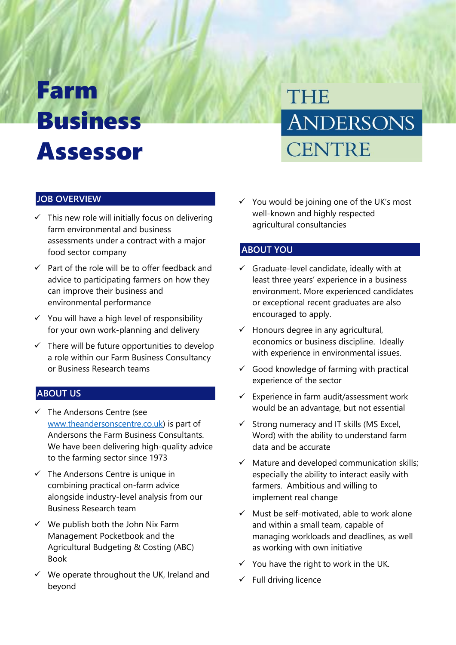# Farm Business Assessor

# THE **ANDERSONS CENTRE**

#### **JOB OVERVIEW**

- $\checkmark$  This new role will initially focus on delivering farm environmental and business assessments under a contract with a major food sector company
- $\checkmark$  Part of the role will be to offer feedback and advice to participating farmers on how they can improve their business and environmental performance
- $\checkmark$  You will have a high level of responsibility for your own work-planning and delivery
- $\checkmark$  There will be future opportunities to develop a role within our Farm Business Consultancy or Business Research teams

## **ABOUT US**

- ✓ The Andersons Centre (see [www.theandersonscentre.co.uk\)](http://www.theandersonscentre.co.uk/) is part of Andersons the Farm Business Consultants. We have been delivering high-quality advice to the farming sector since 1973
- $\checkmark$  The Andersons Centre is unique in combining practical on-farm advice alongside industry-level analysis from our Business Research team
- $\checkmark$  We publish both the John Nix Farm Management Pocketbook and the Agricultural Budgeting & Costing (ABC) Book
- We operate throughout the UK, Ireland and beyond

 $\checkmark$  You would be joining one of the UK's most well-known and highly respected agricultural consultancies

#### **ABOUT YOU**

- $\checkmark$  Graduate-level candidate, ideally with at least three years' experience in a business environment. More experienced candidates or exceptional recent graduates are also encouraged to apply.
- $\checkmark$  Honours degree in any agricultural, economics or business discipline. Ideally with experience in environmental issues.
- $\checkmark$  Good knowledge of farming with practical experience of the sector
- $\checkmark$  Experience in farm audit/assessment work would be an advantage, but not essential
- $\checkmark$  Strong numeracy and IT skills (MS Excel, Word) with the ability to understand farm data and be accurate
- $\checkmark$  Mature and developed communication skills; especially the ability to interact easily with farmers. Ambitious and willing to implement real change
- $\checkmark$  Must be self-motivated, able to work alone and within a small team, capable of managing workloads and deadlines, as well as working with own initiative
- $\checkmark$  You have the right to work in the UK.
- $\checkmark$  Full driving licence